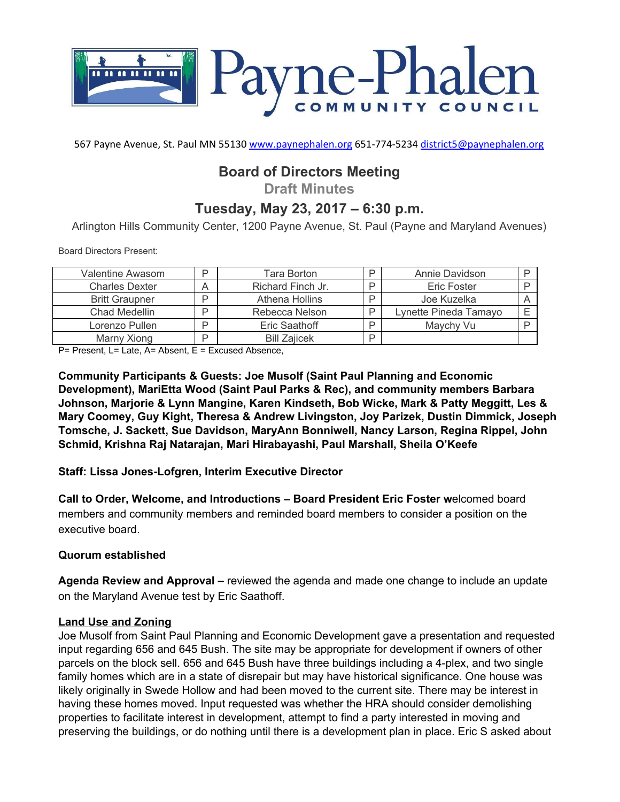

567 Payne Avenue, St. Paul MN 55130 [www.paynephalen.org](http://www.paynephalen.org/) 651-774-5234 [district5@paynephalen.org](mailto:district5@paynephalen.org)

# **Board of Directors Meeting**

**Draft Minutes**

## **Tuesday, May 23, 2017 – 6:30 p.m.**

Arlington Hills Community Center, 1200 Payne Avenue, St. Paul (Payne and Maryland Avenues)

Board Directors Present:

| Valentine Awasom      |   | Tara Borton         |   | Annie Davidson        |  |
|-----------------------|---|---------------------|---|-----------------------|--|
| <b>Charles Dexter</b> |   | Richard Finch Jr.   |   | <b>Eric Foster</b>    |  |
| <b>Britt Graupner</b> |   | Athena Hollins      |   | Joe Kuzelka           |  |
| Chad Medellin         |   | Rebecca Nelson      |   | Lynette Pineda Tamayo |  |
| Lorenzo Pullen        |   | Eric Saathoff       |   | Maychy Vu             |  |
| Marny Xiong           | ┍ | <b>Bill Zaiicek</b> | D |                       |  |

P= Present, L= Late, A= Absent, E = Excused Absence,

**Community Participants & Guests: Joe Musolf (Saint Paul Planning and Economic Development), MariEtta Wood (Saint Paul Parks & Rec), and community members Barbara Johnson, Marjorie & Lynn Mangine, Karen Kindseth, Bob Wicke, Mark & Patty Meggitt, Les & Mary Coomey, Guy Kight, Theresa & Andrew Livingston, Joy Parizek, Dustin Dimmick, Joseph Tomsche, J. Sackett, Sue Davidson, MaryAnn Bonniwell, Nancy Larson, Regina Rippel, John Schmid, Krishna Raj Natarajan, Mari Hirabayashi, Paul Marshall, Sheila O'Keefe**

**Staff: Lissa Jones-Lofgren, Interim Executive Director**

**Call to Order, Welcome, and Introductions – Board President Eric Foster w**e lcomed board members and community members and reminded board members to consider a position on the executive board.

#### **Quorum established**

**Agenda Review and Approval –** reviewed the agenda and made one change to include an update on the Maryland Avenue test by Eric Saathoff.

#### **Land Use and Zoning**

Joe Musolf from Saint Paul Planning and Economic Development gave a presentation and requested input regarding 656 and 645 Bush. The site may be appropriate for development if owners of other parcels on the block sell. 656 and 645 Bush have three buildings including a 4-plex, and two single family homes which are in a state of disrepair but may have historical significance. One house was likely originally in Swede Hollow and had been moved to the current site. There may be interest in having these homes moved. Input requested was whether the HRA should consider demolishing properties to facilitate interest in development, attempt to find a party interested in moving and preserving the buildings, or do nothing until there is a development plan in place. Eric S asked about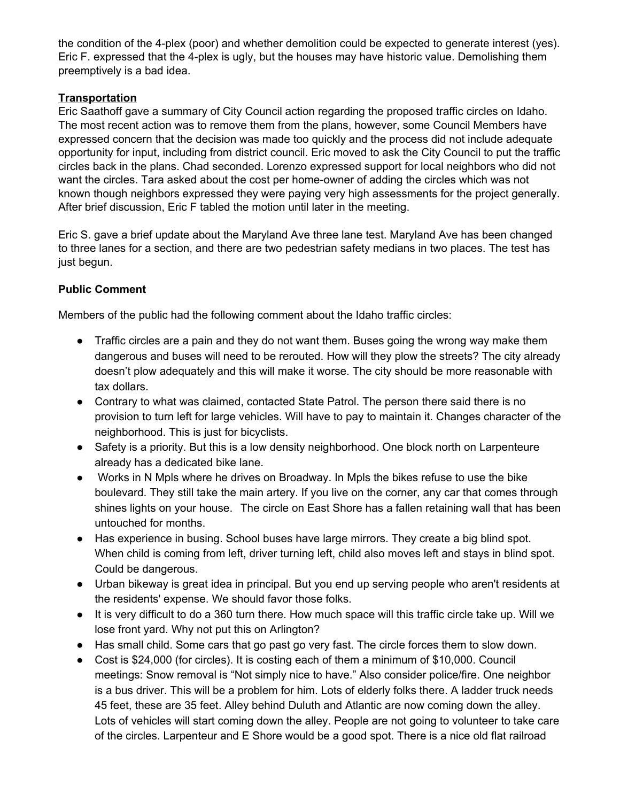the condition of the 4-plex (poor) and whether demolition could be expected to generate interest (yes). Eric F. expressed that the 4-plex is ugly, but the houses may have historic value. Demolishing them preemptively is a bad idea.

## **Transportation**

Eric Saathoff gave a summary of City Council action regarding the proposed traffic circles on Idaho. The most recent action was to remove them from the plans, however, some Council Members have expressed concern that the decision was made too quickly and the process did not include adequate opportunity for input, including from district council. Eric moved to ask the City Council to put the traffic circles back in the plans. Chad seconded. Lorenzo expressed support for local neighbors who did not want the circles. Tara asked about the cost per home-owner of adding the circles which was not known though neighbors expressed they were paying very high assessments for the project generally. After brief discussion, Eric F tabled the motion until later in the meeting.

Eric S. gave a brief update about the Maryland Ave three lane test. Maryland Ave has been changed to three lanes for a section, and there are two pedestrian safety medians in two places. The test has just begun.

## **Public Comment**

Members of the public had the following comment about the Idaho traffic circles:

- Traffic circles are a pain and they do not want them. Buses going the wrong way make them dangerous and buses will need to be rerouted. How will they plow the streets? The city already doesn't plow adequately and this will make it worse. The city should be more reasonable with tax dollars.
- Contrary to what was claimed, contacted State Patrol. The person there said there is no provision to turn left for large vehicles. Will have to pay to maintain it. Changes character of the neighborhood. This is just for bicyclists.
- Safety is a priority. But this is a low density neighborhood. One block north on Larpenteure already has a dedicated bike lane.
- Works in N Mpls where he drives on Broadway. In Mpls the bikes refuse to use the bike boulevard. They still take the main artery. If you live on the corner, any car that comes through shines lights on your house. The circle on East Shore has a fallen retaining wall that has been untouched for months.
- Has experience in busing. School buses have large mirrors. They create a big blind spot. When child is coming from left, driver turning left, child also moves left and stays in blind spot. Could be dangerous.
- Urban bikeway is great idea in principal. But you end up serving people who aren't residents at the residents' expense. We should favor those folks.
- It is very difficult to do a 360 turn there. How much space will this traffic circle take up. Will we lose front yard. Why not put this on Arlington?
- Has small child. Some cars that go past go very fast. The circle forces them to slow down.
- Cost is \$24,000 (for circles). It is costing each of them a minimum of \$10,000. Council meetings: Snow removal is "Not simply nice to have." Also consider police/fire. One neighbor is a bus driver. This will be a problem for him. Lots of elderly folks there. A ladder truck needs 45 feet, these are 35 feet. Alley behind Duluth and Atlantic are now coming down the alley. Lots of vehicles will start coming down the alley. People are not going to volunteer to take care of the circles. Larpenteur and E Shore would be a good spot. There is a nice old flat railroad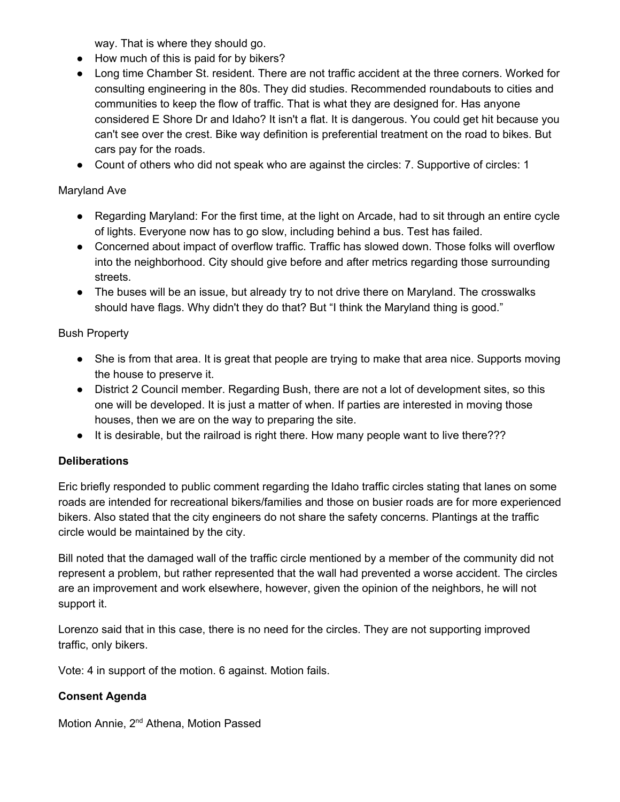way. That is where they should go.

- How much of this is paid for by bikers?
- Long time Chamber St. resident. There are not traffic accident at the three corners. Worked for consulting engineering in the 80s. They did studies. Recommended roundabouts to cities and communities to keep the flow of traffic. That is what they are designed for. Has anyone considered E Shore Dr and Idaho? It isn't a flat. It is dangerous. You could get hit because you can't see over the crest. Bike way definition is preferential treatment on the road to bikes. But cars pay for the roads.
- Count of others who did not speak who are against the circles: 7. Supportive of circles: 1

## Maryland Ave

- Regarding Maryland: For the first time, at the light on Arcade, had to sit through an entire cycle of lights. Everyone now has to go slow, including behind a bus. Test has failed.
- Concerned about impact of overflow traffic. Traffic has slowed down. Those folks will overflow into the neighborhood. City should give before and after metrics regarding those surrounding streets.
- The buses will be an issue, but already try to not drive there on Maryland. The crosswalks should have flags. Why didn't they do that? But "I think the Maryland thing is good."

## Bush Property

- She is from that area. It is great that people are trying to make that area nice. Supports moving the house to preserve it.
- District 2 Council member. Regarding Bush, there are not a lot of development sites, so this one will be developed. It is just a matter of when. If parties are interested in moving those houses, then we are on the way to preparing the site.
- It is desirable, but the railroad is right there. How many people want to live there???

## **Deliberations**

Eric briefly responded to public comment regarding the Idaho traffic circles stating that lanes on some roads are intended for recreational bikers/families and those on busier roads are for more experienced bikers. Also stated that the city engineers do not share the safety concerns. Plantings at the traffic circle would be maintained by the city.

Bill noted that the damaged wall of the traffic circle mentioned by a member of the community did not represent a problem, but rather represented that the wall had prevented a worse accident. The circles are an improvement and work elsewhere, however, given the opinion of the neighbors, he will not support it.

Lorenzo said that in this case, there is no need for the circles. They are not supporting improved traffic, only bikers.

Vote: 4 in support of the motion. 6 against. Motion fails.

## **Consent Agenda**

Motion Annie, 2<sup>nd</sup> Athena, Motion Passed